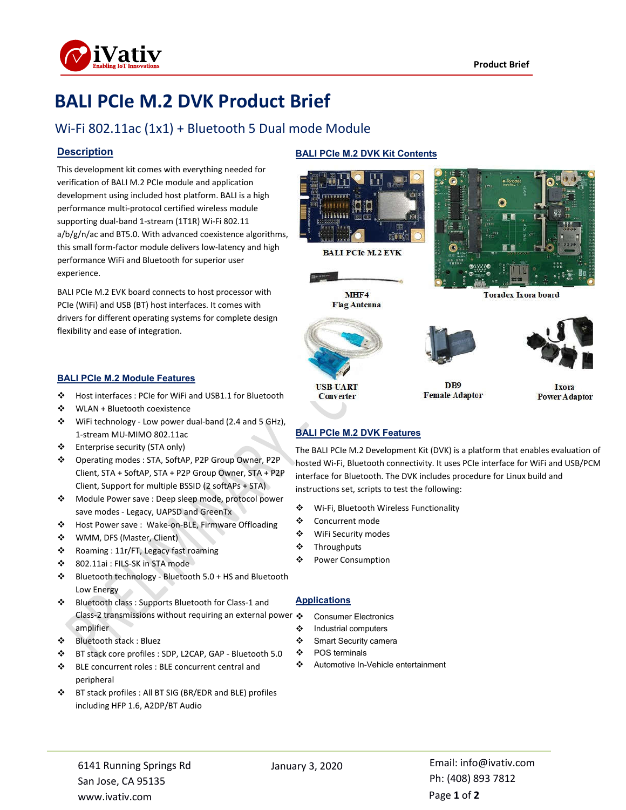

# **BALI PCIe M.2 DVK Product Brief**

## Wi-Fi 802.11ac (1x1) + Bluetooth 5 Dual mode Module

#### **Description**

This development kit comes with everything needed for verification of BALI M.2 PCIe module and application development using included host platform. BALI is a high performance multi-protocol certified wireless module supporting dual-band 1-stream (1T1R) Wi-Fi 802.11 a/b/g/n/ac and BT5.0. With advanced coexistence algorithms, this small form-factor module delivers low-latency and high performance WiFi and Bluetooth for superior user experience.

BALI PCIe M.2 EVK board connects to host processor with PCIe (WiFi) and USB (BT) host interfaces. It comes with drivers for different operating systems for complete design flexibility and ease of integration.

#### **BALI PCIe M.2 Module Features**

- Host interfaces : PCIe for WiFi and USB1.1 for Bluetooth
- WLAN + Bluetooth coexistence
- WiFi technology Low power dual-band (2.4 and 5 GHz), 1-stream MU-MIMO 802.11ac
- Enterprise security (STA only)
- Operating modes : STA, SoftAP, P2P Group Owner, P2P Client, STA + SoftAP, STA + P2P Group Owner, STA + P2P Client, Support for multiple BSSID (2 softAPs + STA)
- Module Power save : Deep sleep mode, protocol power save modes - Legacy, UAPSD and GreenTx
- Host Power save : Wake-on-BLE, Firmware Offloading
- WMM, DFS (Master, Client)
- Roaming : 11r/FT, Legacy fast roaming
- 802.11ai : FILS-SK in STA mode
- $\div$  Bluetooth technology Bluetooth 5.0 + HS and Bluetooth Low Energy
- Bluetooth class : Supports Bluetooth for Class-1 and Class-2 transmissions without requiring an external power ❖ amplifier
- Bluetooth stack : Bluez
- BT stack core profiles : SDP, L2CAP, GAP Bluetooth 5.0
- BLE concurrent roles : BLE concurrent central and peripheral
- BT stack profiles : All BT SIG (BR/EDR and BLE) profiles including HFP 1.6, A2DP/BT Audio

#### **BALI PCIe M.2 DVK Kit Contents**



**BALI PCIe M.2 EVK** 





**USB-UART** 

**Converter** 

D<sub>B9</sub> **Female Adaptor** 



Toradex Ixora board

Ixora **Power Adaptor** 

#### **BALI PCIe M.2 DVK Features**

The BALI PCIe M.2 Development Kit (DVK) is a platform that enables evaluation of hosted Wi-Fi, Bluetooth connectivity. It uses PCIe interface for WiFi and USB/PCM interface for Bluetooth. The DVK includes procedure for Linux build and instructions set, scripts to test the following:

- Wi-Fi, Bluetooth Wireless Functionality
- ❖ Concurrent mode
- WiFi Security modes
- ❖ Throughputs
- Power Consumption

#### **Applications**

- Consumer Electronics
- Industrial computers
- Smart Security camera
- POS terminals
- Automotive In-Vehicle entertainment